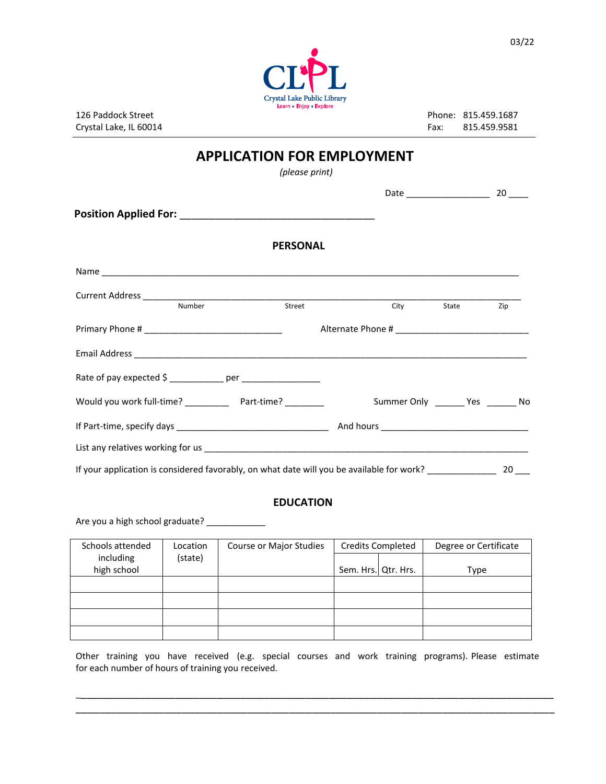

Crystal Lake, IL 60014 **Fax: 815.459.9581** Fax: 815.459.9581

Phone: 815.459.1687 Phone: 815.459.1687

## **APPLICATION FOR EMPLOYMENT**

 *(please print)* 

|                                                                                                         | <b>PERSONAL</b> |            |        |
|---------------------------------------------------------------------------------------------------------|-----------------|------------|--------|
|                                                                                                         |                 |            |        |
| Number                                                                                                  | Street          | City State | Zip    |
|                                                                                                         |                 |            |        |
|                                                                                                         |                 |            |        |
| Rate of pay expected \$ ____________ per _______________                                                |                 |            |        |
|                                                                                                         |                 |            |        |
|                                                                                                         |                 |            |        |
|                                                                                                         |                 |            |        |
| If your application is considered favorably, on what date will you be available for work? _____________ |                 |            | $20$ — |

## **EDUCATION**

Are you a high school graduate? \_\_\_\_\_\_\_\_\_\_

| Schools attended | Location | Course or Major Studies | <b>Credits Completed</b> | Degree or Certificate |
|------------------|----------|-------------------------|--------------------------|-----------------------|
| including        | (state)  |                         |                          |                       |
| high school      |          |                         | Sem. Hrs.   Qtr. Hrs.    | Type                  |
|                  |          |                         |                          |                       |
|                  |          |                         |                          |                       |
|                  |          |                         |                          |                       |
|                  |          |                         |                          |                       |

Other training you have received (e.g. special courses and work training programs). Please estimate for each number of hours of training you received.

\_\_\_\_\_\_\_\_\_\_\_\_\_\_\_\_\_\_\_\_\_\_\_\_\_\_\_\_\_\_\_\_\_\_\_\_\_\_\_\_\_\_\_\_\_\_\_\_\_\_\_\_\_\_\_\_\_\_\_\_\_\_\_\_\_\_\_\_\_\_\_\_\_\_\_\_\_\_\_\_\_ \_\_\_\_\_\_\_\_\_\_\_\_\_\_\_\_\_\_\_\_\_\_\_\_\_\_\_\_\_\_\_\_\_\_\_\_\_\_\_\_\_\_\_\_\_\_\_\_\_\_\_\_\_\_\_\_\_\_\_\_\_\_\_\_\_\_\_\_\_\_\_\_\_\_\_\_\_\_\_\_\_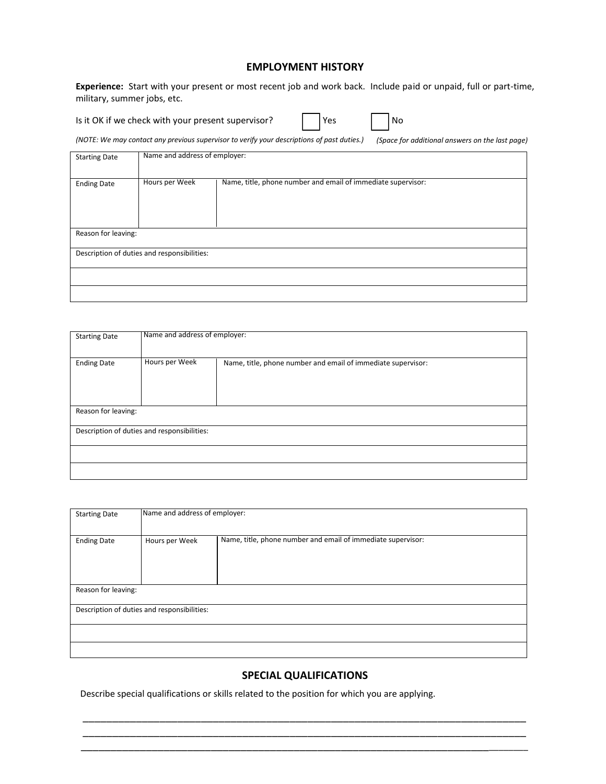## **EMPLOYMENT HISTORY**

**Experience:** Start with your present or most recent job and work back. Include paid or unpaid, full or part-time, military, summer jobs, etc.

Is it OK if we check with your present supervisor?

No

*(NOTE: We may contact any previous supervisor to verify your descriptions of past duties.) (Space for additional answers on the last page)*

| <b>Starting Date</b> | Name and address of employer:               |                                                              |
|----------------------|---------------------------------------------|--------------------------------------------------------------|
| <b>Ending Date</b>   | Hours per Week                              | Name, title, phone number and email of immediate supervisor: |
| Reason for leaving:  |                                             |                                                              |
|                      | Description of duties and responsibilities: |                                                              |
|                      |                                             |                                                              |
|                      |                                             |                                                              |

| <b>Starting Date</b> | Name and address of employer:               |                                                              |
|----------------------|---------------------------------------------|--------------------------------------------------------------|
| <b>Ending Date</b>   | Hours per Week                              | Name, title, phone number and email of immediate supervisor: |
| Reason for leaving:  |                                             |                                                              |
|                      | Description of duties and responsibilities: |                                                              |
|                      |                                             |                                                              |
|                      |                                             |                                                              |

| <b>Starting Date</b> | Name and address of employer:               |                                                              |
|----------------------|---------------------------------------------|--------------------------------------------------------------|
| <b>Ending Date</b>   | Hours per Week                              | Name, title, phone number and email of immediate supervisor: |
| Reason for leaving:  |                                             |                                                              |
|                      | Description of duties and responsibilities: |                                                              |
|                      |                                             |                                                              |
|                      |                                             |                                                              |

## **SPECIAL QUALIFICATIONS**

\_\_\_\_\_\_\_\_\_\_\_\_\_\_\_\_\_\_\_\_\_\_\_\_\_\_\_\_\_\_\_\_\_\_\_\_\_\_\_\_\_\_\_\_\_\_\_\_\_\_\_\_\_\_\_\_\_\_\_\_\_\_\_\_\_\_\_\_\_\_\_\_\_\_\_ \_\_\_\_\_\_\_\_\_\_\_\_\_\_\_\_\_\_\_\_\_\_\_\_\_\_\_\_\_\_\_\_\_\_\_\_\_\_\_\_\_\_\_\_\_\_\_\_\_\_\_\_\_\_\_\_\_\_\_\_\_\_\_\_\_\_\_\_\_\_\_\_\_\_\_ \_\_\_\_\_\_\_\_\_\_\_\_\_\_\_\_\_\_\_\_\_\_\_\_\_\_\_\_\_\_\_\_\_\_\_\_\_\_\_\_\_\_\_\_\_\_\_\_\_\_\_\_\_\_\_\_\_\_\_\_\_\_\_\_\_\_\_\_\_\_\_\_\_\_\_\_\_

Describe special qualifications or skills related to the position for which you are applying.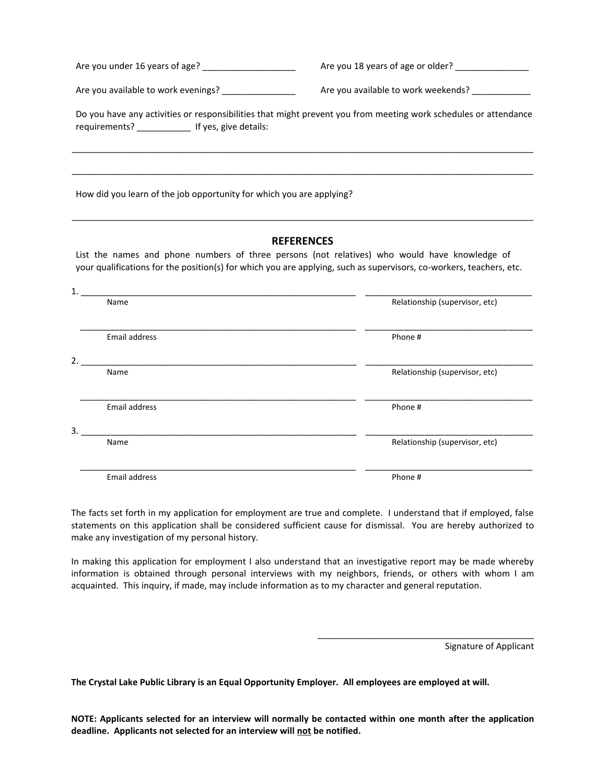|                                                                                                                                                                                                                      | Are you 18 years of age or older? _______________                                                               |
|----------------------------------------------------------------------------------------------------------------------------------------------------------------------------------------------------------------------|-----------------------------------------------------------------------------------------------------------------|
| Are you available to work evenings? _______________                                                                                                                                                                  | Are you available to work weekends? ____________                                                                |
| requirements? _____________ If yes, give details:                                                                                                                                                                    | Do you have any activities or responsibilities that might prevent you from meeting work schedules or attendance |
| How did you learn of the job opportunity for which you are applying?                                                                                                                                                 |                                                                                                                 |
| List the names and phone numbers of three persons (not relatives) who would have knowledge of<br>your qualifications for the position(s) for which you are applying, such as supervisors, co-workers, teachers, etc. | <b>REFERENCES</b>                                                                                               |
| Name                                                                                                                                                                                                                 | Relationship (supervisor, etc)                                                                                  |
| Email address                                                                                                                                                                                                        | Phone #                                                                                                         |
| Name                                                                                                                                                                                                                 | Relationship (supervisor, etc)                                                                                  |
| <b>Email address</b>                                                                                                                                                                                                 | Phone #                                                                                                         |
| Name                                                                                                                                                                                                                 | Relationship (supervisor, etc)                                                                                  |

Email address Phone #

The facts set forth in my application for employment are true and complete. I understand that if employed, false statements on this application shall be considered sufficient cause for dismissal. You are hereby authorized to make any investigation of my personal history.

 $\overline{\phantom{a}}$  , and the contribution of the contribution of the contribution of the contribution of the contribution of the contribution of the contribution of the contribution of the contribution of the contribution of the

In making this application for employment I also understand that an investigative report may be made whereby information is obtained through personal interviews with my neighbors, friends, or others with whom I am acquainted. This inquiry, if made, may include information as to my character and general reputation.

Signature of Applicant

\_\_\_\_\_\_\_\_\_\_\_\_\_\_\_\_\_\_\_\_\_\_\_\_\_\_\_\_\_\_\_\_\_\_\_\_\_\_\_\_\_\_\_\_

**The Crystal Lake Public Library is an Equal Opportunity Employer. All employees are employed at will.** 

**NOTE: Applicants selected for an interview will normally be contacted within one month after the application deadline. Applicants not selected for an interview will not be notified.**